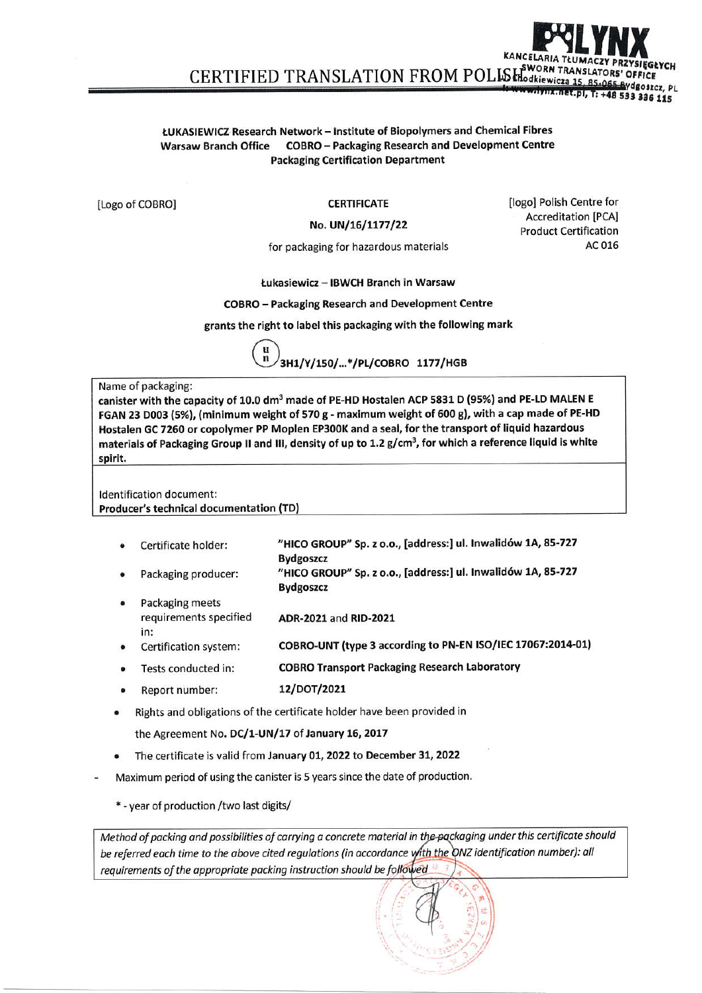## ŁUKASIEWICZ Research Network - Institute of Biopolymers and Chemical Fibres Warsaw Branch Office COBRO - Packaging Research and Development Centre **Packaging Certification Department**

[Logo of COBRO]

**CERTIFICATE** 

## No. UN/16/1177/22

for packaging for hazardous materials

**Ilogol Polish Centre for Accreditation [PCA] Product Certification** AC 016

85-065 Bydgoszcz, PL

mx.net.pl, T: +48 533 336 115

Łukasiewicz – IBWCH Branch in Warsaw

**COBRO** - Packaging Research and Development Centre

grants the right to label this packaging with the following mark

3H1/Y/150/...\*/PL/COBRO 1177/HGB

## Name of packaging:

canister with the capacity of 10.0 dm<sup>3</sup> made of PE-HD Hostalen ACP 5831 D (95%) and PE-LD MALEN E FGAN 23 D003 (5%), (minimum weight of 570 g - maximum weight of 600 g), with a cap made of PE-HD Hostalen GC 7260 or copolymer PP Moplen EP300K and a seal, for the transport of liquid hazardous materials of Packaging Group II and III, density of up to 1.2 g/cm<sup>3</sup>, for which a reference liquid is white spirit.

Identification document: Producer's technical documentation (TD)

- "HICO GROUP" Sp. z o.o., [address:] ul. Inwalidów 1A, 85-727 Certificate holder: **Bydgoszcz**
- "HICO GROUP" Sp. z o.o., [address:] ul. Inwalidów 1A, 85-727 Packaging producer:
- **Bydgoszcz** Packaging meets requirements specified ADR-2021 and RID-2021 in:
- COBRO-UNT (type 3 according to PN-EN ISO/IEC 17067:2014-01) Certification system:
- **COBRO Transport Packaging Research Laboratory** Tests conducted in:
- 12/DOT/2021 Report number:
- Rights and obligations of the certificate holder have been provided in

the Agreement No. DC/1-UN/17 of January 16, 2017

- The certificate is valid from January 01, 2022 to December 31, 2022
- Maximum period of using the canister is 5 years since the date of production.

\* - year of production / two last digits/

Method of packing and possibilities of carrying a concrete material in the packaging under this certificate should be referred each time to the above cited regulations (in accordance with the ONZ identification number): all requirements of the appropriate packing instruction should be followed